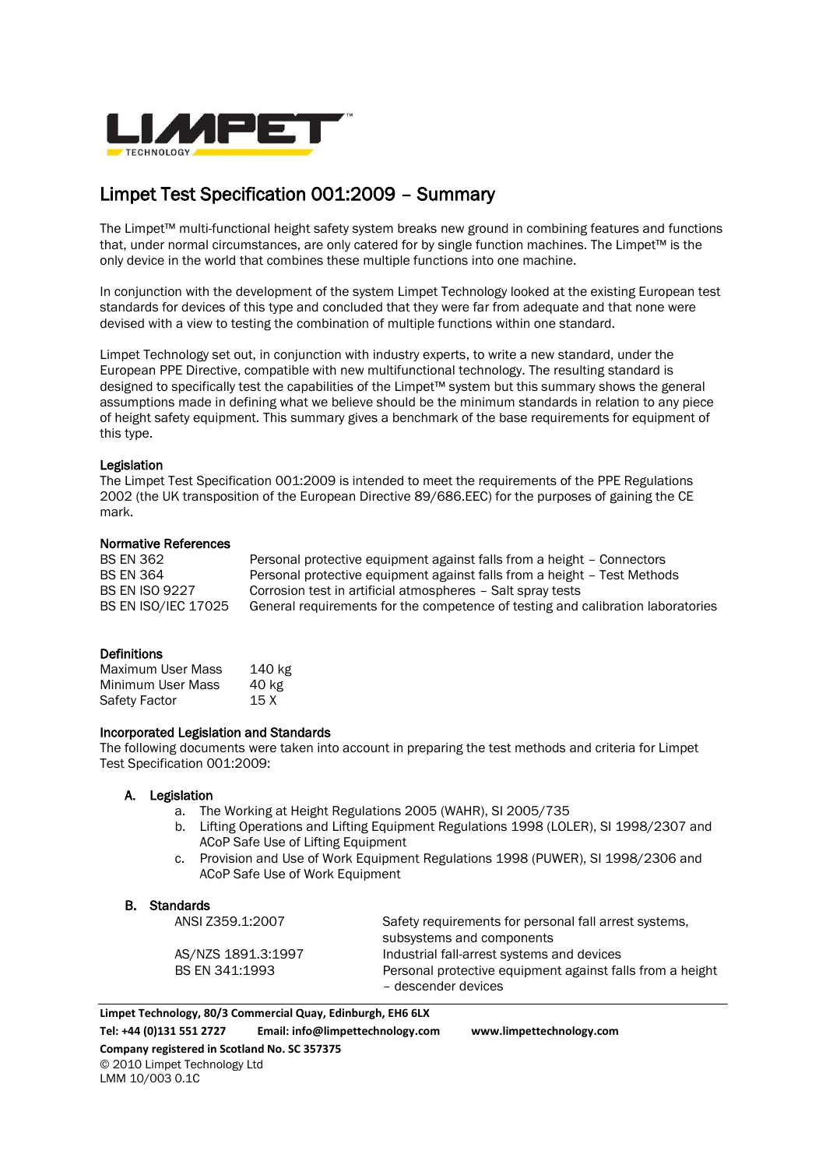

# Limpet Test Specification 001:2009 – Summary

The Limpet™ multi-functional height safety system breaks new ground in combining features and functions that, under normal circumstances, are only catered for by single function machines. The Limpet™ is the only device in the world that combines these multiple functions into one machine.

In conjunction with the development of the system Limpet Technology looked at the existing European test standards for devices of this type and concluded that they were far from adequate and that none were devised with a view to testing the combination of multiple functions within one standard.

Limpet Technology set out, in conjunction with industry experts, to write a new standard, under the European PPE Directive, compatible with new multifunctional technology. The resulting standard is designed to specifically test the capabilities of the Limpet™ system but this summary shows the general assumptions made in defining what we believe should be the minimum standards in relation to any piece of height safety equipment. This summary gives a benchmark of the base requirements for equipment of this type.

#### Legislation

The Limpet Test Specification 001:2009 is intended to meet the requirements of the PPE Regulations 2002 (the UK transposition of the European Directive 89/686.EEC) for the purposes of gaining the CE mark.

## Normative References

| <b>BS EN 362</b>           | Personal protective equipment against falls from a height - Connectors          |
|----------------------------|---------------------------------------------------------------------------------|
| <b>BS EN 364</b>           | Personal protective equipment against falls from a height - Test Methods        |
| <b>BS EN ISO 9227</b>      | Corrosion test in artificial atmospheres - Salt spray tests                     |
| <b>BS EN ISO/IEC 17025</b> | General requirements for the competence of testing and calibration laboratories |

#### **Definitions**

| Maximum User Mass | 140 kg |
|-------------------|--------|
| Minimum User Mass | 40 kg  |
| Safety Factor     | 15 X   |

#### Incorporated Legislation and Standards

The following documents were taken into account in preparing the test methods and criteria for Limpet Test Specification 001:2009:

#### A. Legislation

- a. The Working at Height Regulations 2005 (WAHR), SI 2005/735
- b. Lifting Operations and Lifting Equipment Regulations 1998 (LOLER), SI 1998/2307 and ACoP Safe Use of Lifting Equipment
- c. Provision and Use of Work Equipment Regulations 1998 (PUWER), SI 1998/2306 and ACoP Safe Use of Work Equipment

#### B. Standards

| ANSI Z359.1:2007   | Safety requirements for personal fall arrest systems,     |
|--------------------|-----------------------------------------------------------|
|                    | subsystems and components                                 |
| AS/NZS 1891.3:1997 | Industrial fall-arrest systems and devices                |
| BS EN 341:1993     | Personal protective equipment against falls from a height |
|                    | - descender devices                                       |

**Limpet Technology, 80/3 Commercial Quay, Edinburgh, EH6 6LX Tel: +44 (0)131 551 2727 Email: info@limpettechnology.com www.limpettechnology.com Company registered in Scotland No. SC 357375**  © 2010 Limpet Technology Ltd LMM 10/003 0.1C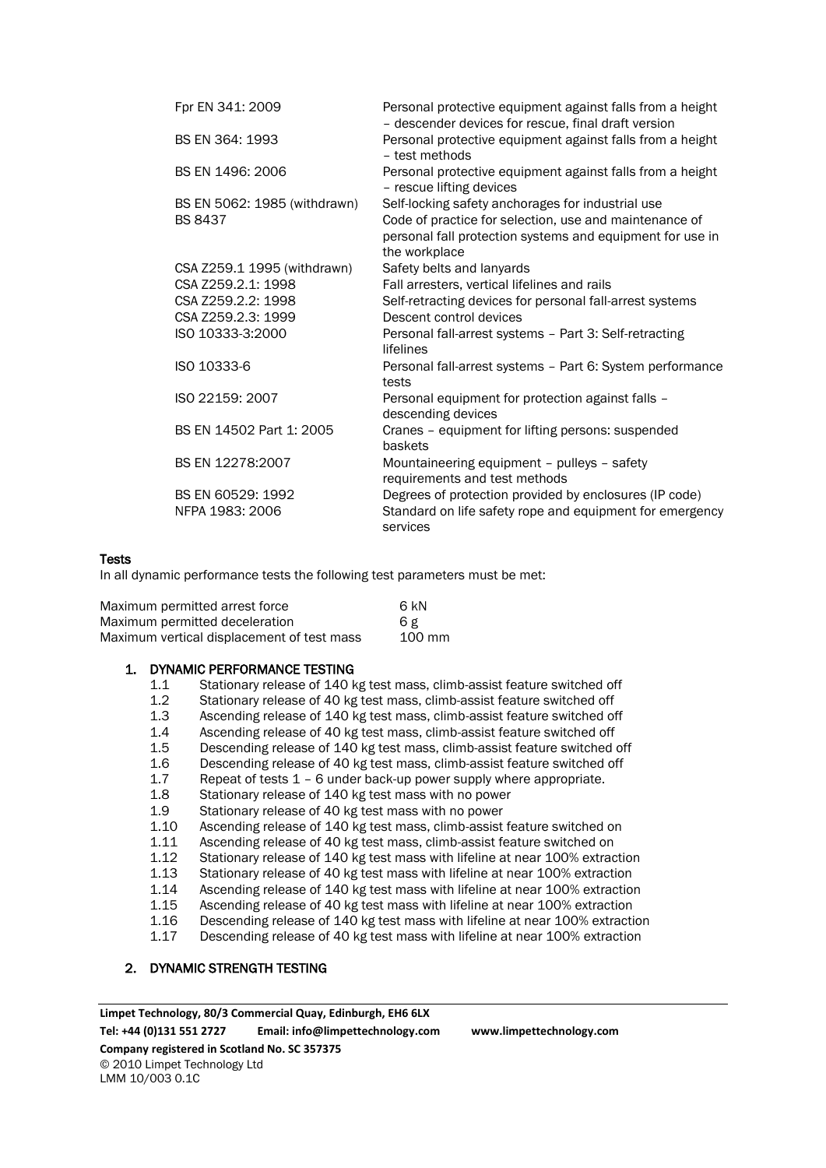| Fpr EN 341: 2009             | Personal protective equipment against falls from a height<br>- descender devices for rescue, final draft version                     |
|------------------------------|--------------------------------------------------------------------------------------------------------------------------------------|
| BS EN 364: 1993              | Personal protective equipment against falls from a height<br>- test methods                                                          |
| BS EN 1496: 2006             | Personal protective equipment against falls from a height<br>- rescue lifting devices                                                |
| BS EN 5062: 1985 (withdrawn) | Self-locking safety anchorages for industrial use                                                                                    |
| <b>BS 8437</b>               | Code of practice for selection, use and maintenance of<br>personal fall protection systems and equipment for use in<br>the workplace |
| CSA Z259.1 1995 (withdrawn)  | Safety belts and lanyards                                                                                                            |
| CSA Z259.2.1: 1998           | Fall arresters, vertical lifelines and rails                                                                                         |
| CSA Z259.2.2: 1998           | Self-retracting devices for personal fall-arrest systems                                                                             |
| CSA Z259.2.3: 1999           | Descent control devices                                                                                                              |
| ISO 10333-3:2000             | Personal fall-arrest systems - Part 3: Self-retracting<br>lifelines                                                                  |
| ISO 10333-6                  | Personal fall-arrest systems - Part 6: System performance<br>tests                                                                   |
| ISO 22159: 2007              | Personal equipment for protection against falls -<br>descending devices                                                              |
| BS EN 14502 Part 1: 2005     | Cranes - equipment for lifting persons: suspended<br>baskets                                                                         |
| BS EN 12278:2007             | Mountaineering equipment - pulleys - safety<br>requirements and test methods                                                         |
| BS EN 60529: 1992            | Degrees of protection provided by enclosures (IP code)                                                                               |
| NFPA 1983: 2006              | Standard on life safety rope and equipment for emergency<br>services                                                                 |

#### Tests

In all dynamic performance tests the following test parameters must be met:

| Maximum permitted arrest force             | 6 kN   |
|--------------------------------------------|--------|
| Maximum permitted deceleration             | 6 g    |
| Maximum vertical displacement of test mass | 100 mm |

#### 1. DYNAMIC PERFORMANCE TESTING

- 1.1 Stationary release of 140 kg test mass, climb-assist feature switched off
- 1.2 Stationary release of 40 kg test mass, climb-assist feature switched off
- 1.3 Ascending release of 140 kg test mass, climb-assist feature switched off
- 1.4 Ascending release of 40 kg test mass, climb-assist feature switched off
- 1.5 Descending release of 140 kg test mass, climb-assist feature switched off
- 1.6 Descending release of 40 kg test mass, climb-assist feature switched off
- 1.7 Repeat of tests 1 6 under back-up power supply where appropriate.<br>1.8 Stationary release of 140 kg test mass with no power
- Stationary release of 140 kg test mass with no power
- 1.9 Stationary release of 40 kg test mass with no power
- 1.10 Ascending release of 140 kg test mass, climb-assist feature switched on
- 1.11 Ascending release of 40 kg test mass, climb-assist feature switched on
- 1.12 Stationary release of 140 kg test mass with lifeline at near 100% extraction<br>1.13 Stationary release of 40 kg test mass with lifeline at near 100% extraction
- Stationary release of 40 kg test mass with lifeline at near 100% extraction
- 1.14 Ascending release of 140 kg test mass with lifeline at near 100% extraction
- 1.15 Ascending release of 40 kg test mass with lifeline at near 100% extraction
- 1.16 Descending release of 140 kg test mass with lifeline at near 100% extraction
- 1.17 Descending release of 40 kg test mass with lifeline at near 100% extraction

## 2. DYNAMIC STRENGTH TESTING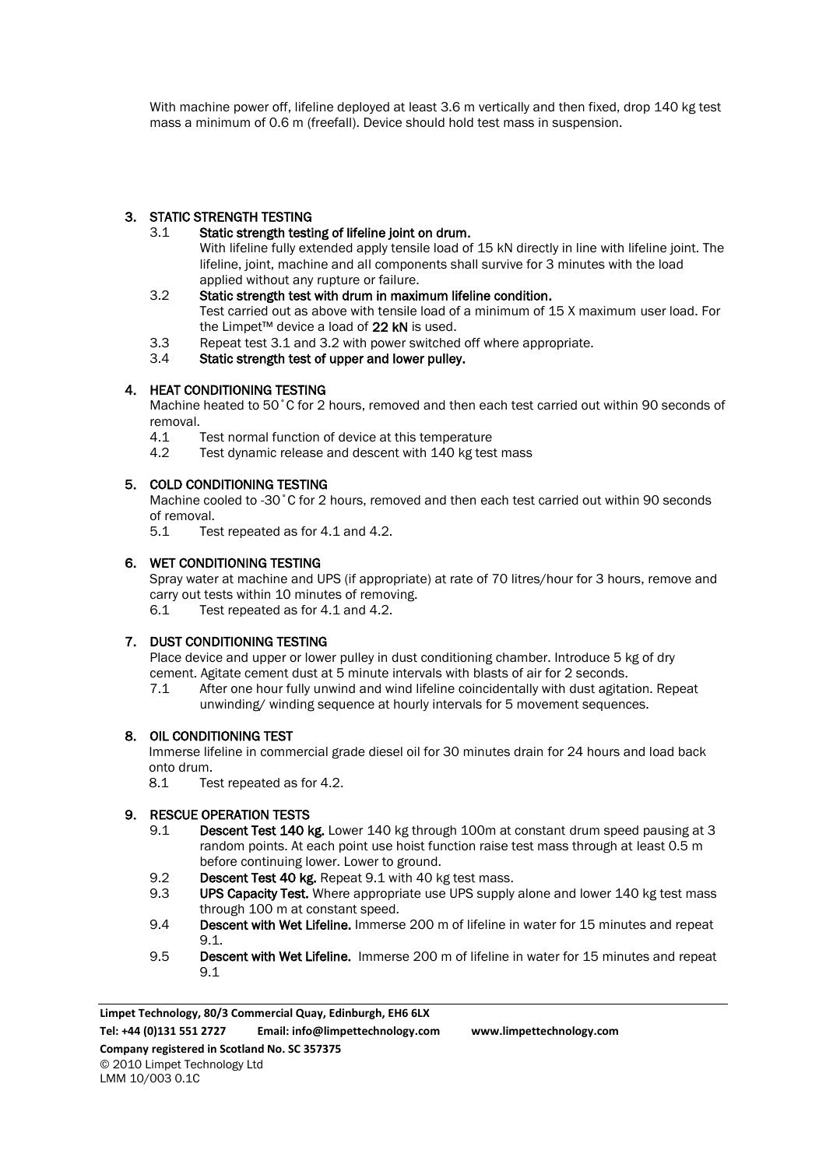With machine power off, lifeline deployed at least 3.6 m vertically and then fixed, drop 140 kg test mass a minimum of 0.6 m (freefall). Device should hold test mass in suspension.

## 3. STATIC STRENGTH TESTING

- 3.1 Static strength testing of lifeline joint on drum. With lifeline fully extended apply tensile load of 15 kN directly in line with lifeline joint. The lifeline, joint, machine and all components shall survive for 3 minutes with the load applied without any rupture or failure.
- 3.2 Static strength test with drum in maximum lifeline condition. Test carried out as above with tensile load of a minimum of 15 X maximum user load. For the Limpet™ device a load of 22 kN is used.
- 3.3 Repeat test 3.1 and 3.2 with power switched off where appropriate.
- 3.4 Static strength test of upper and lower pulley.

## 4. HEAT CONDITIONING TESTING

Machine heated to 50˚C for 2 hours, removed and then each test carried out within 90 seconds of removal.

- 4.1 Test normal function of device at this temperature
- 4.2 Test dynamic release and descent with 140 kg test mass

## 5. COLD CONDITIONING TESTING

Machine cooled to -30˚C for 2 hours, removed and then each test carried out within 90 seconds of removal.<br>5.1 Tes

Test repeated as for 4.1 and 4.2.

## 6. WET CONDITIONING TESTING

Spray water at machine and UPS (if appropriate) at rate of 70 litres/hour for 3 hours, remove and carry out tests within 10 minutes of removing. 6.1 Test repeated as for 4.1 and 4.2.

## 7. DUST CONDITIONING TESTING

Place device and upper or lower pulley in dust conditioning chamber. Introduce 5 kg of dry cement. Agitate cement dust at 5 minute intervals with blasts of air for 2 seconds.

7.1 After one hour fully unwind and wind lifeline coincidentally with dust agitation. Repeat unwinding/ winding sequence at hourly intervals for 5 movement sequences.

## 8. OIL CONDITIONING TEST

Immerse lifeline in commercial grade diesel oil for 30 minutes drain for 24 hours and load back onto drum.

8.1 Test repeated as for 4.2.

## 9. RESCUE OPERATION TESTS

- 9.1 Descent Test 140 kg. Lower 140 kg through 100m at constant drum speed pausing at 3 random points. At each point use hoist function raise test mass through at least 0.5 m before continuing lower. Lower to ground.
- 9.2 Descent Test 40 kg. Repeat 9.1 with 40 kg test mass.
- 9.3 **UPS Capacity Test.** Where appropriate use UPS supply alone and lower 140 kg test mass through 100 m at constant speed.
- 9.4 Descent with Wet Lifeline. Immerse 200 m of lifeline in water for 15 minutes and repeat 9.1.
- 9.5 Descent with Wet Lifeline. Immerse 200 m of lifeline in water for 15 minutes and repeat 9.1